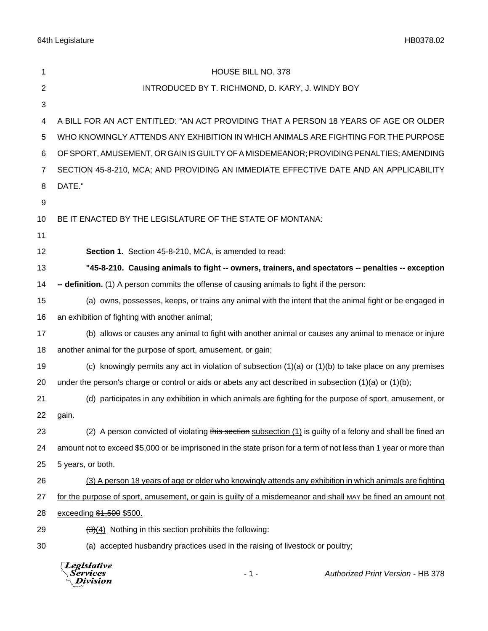64th Legislature HB0378.02

| 1              | HOUSE BILL NO. 378                                                                                                |
|----------------|-------------------------------------------------------------------------------------------------------------------|
| $\overline{c}$ | INTRODUCED BY T. RICHMOND, D. KARY, J. WINDY BOY                                                                  |
| 3              |                                                                                                                   |
| 4              | A BILL FOR AN ACT ENTITLED: "AN ACT PROVIDING THAT A PERSON 18 YEARS OF AGE OR OLDER                              |
| 5              | WHO KNOWINGLY ATTENDS ANY EXHIBITION IN WHICH ANIMALS ARE FIGHTING FOR THE PURPOSE                                |
| 6              | OF SPORT, AMUSEMENT, OR GAIN IS GUILTY OF A MISDEMEANOR; PROVIDING PENALTIES; AMENDING                            |
| 7              | SECTION 45-8-210, MCA; AND PROVIDING AN IMMEDIATE EFFECTIVE DATE AND AN APPLICABILITY                             |
| 8              | DATE."                                                                                                            |
| 9              |                                                                                                                   |
| 10             | BE IT ENACTED BY THE LEGISLATURE OF THE STATE OF MONTANA:                                                         |
| 11             |                                                                                                                   |
| 12             | Section 1. Section 45-8-210, MCA, is amended to read:                                                             |
| 13             | "45-8-210. Causing animals to fight -- owners, trainers, and spectators -- penalties -- exception                 |
| 14             | -- definition. (1) A person commits the offense of causing animals to fight if the person:                        |
| 15             | (a) owns, possesses, keeps, or trains any animal with the intent that the animal fight or be engaged in           |
| 16             | an exhibition of fighting with another animal;                                                                    |
| 17             | (b) allows or causes any animal to fight with another animal or causes any animal to menace or injure             |
| 18             | another animal for the purpose of sport, amusement, or gain;                                                      |
| 19             | (c) knowingly permits any act in violation of subsection $(1)(a)$ or $(1)(b)$ to take place on any premises       |
| 20             | under the person's charge or control or aids or abets any act described in subsection $(1)(a)$ or $(1)(b)$ ;      |
| 21             | (d) participates in any exhibition in which animals are fighting for the purpose of sport, amusement, or          |
| 22             | gain.                                                                                                             |
| 23             | (2) A person convicted of violating this section subsection (1) is guilty of a felony and shall be fined an       |
| 24             | amount not to exceed \$5,000 or be imprisoned in the state prison for a term of not less than 1 year or more than |
| 25             | 5 years, or both.                                                                                                 |
| 26             | (3) A person 18 years of age or older who knowingly attends any exhibition in which animals are fighting          |
| 27             | for the purpose of sport, amusement, or gain is guilty of a misdemeanor and shall MAY be fined an amount not      |
| 28             | exceeding \$1,500 \$500.                                                                                          |
| 29             | $\left(\frac{1}{2}(4)\right)$ Nothing in this section prohibits the following:                                    |
| 30             | (a) accepted husbandry practices used in the raising of livestock or poultry;                                     |
|                |                                                                                                                   |